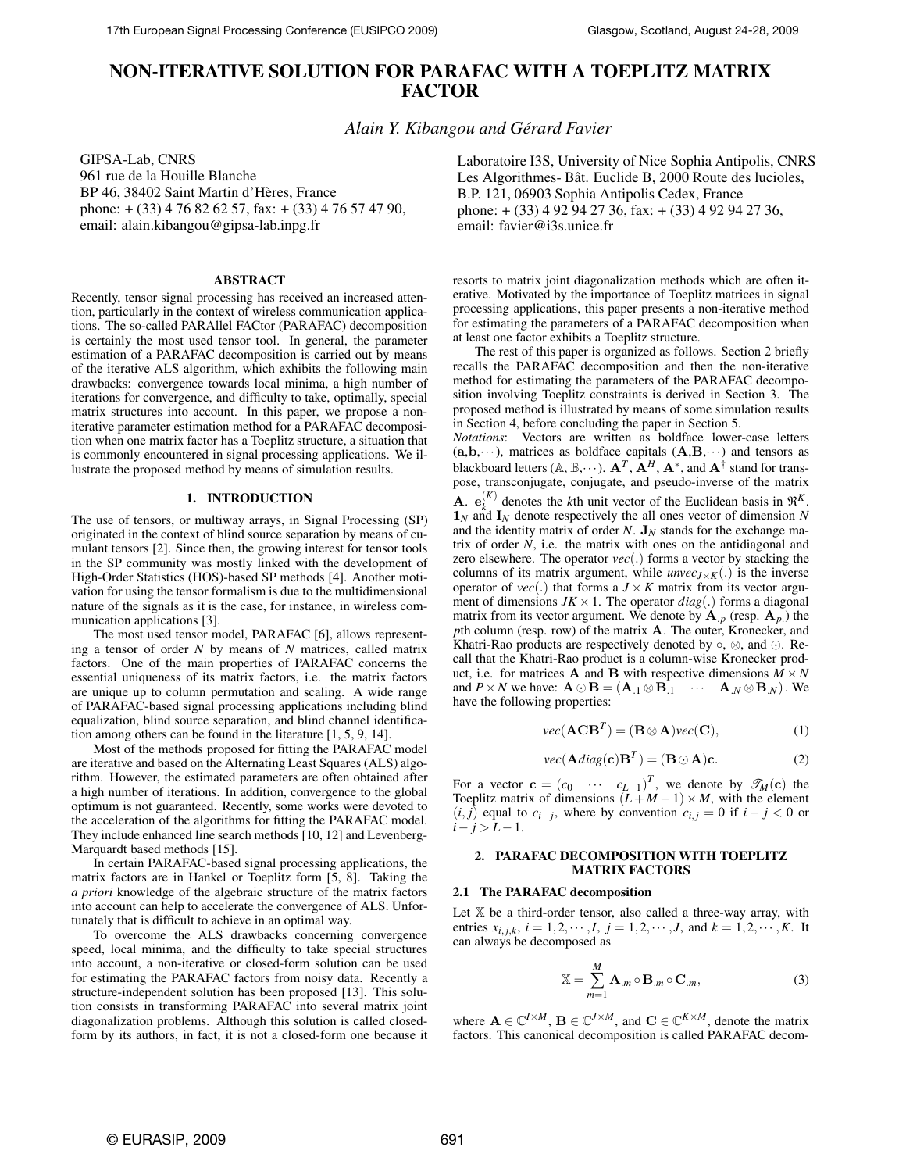# **NON-ITERATIVE SOLUTION FOR PARAFAC WITH A TOEPLITZ MATRIX FACTOR**

*Alain Y. Kibangou and Gérard Favier*

GIPSA-Lab, CNRS 961 rue de la Houille Blanche BP 46, 38402 Saint Martin d'Hères, France phone: + (33) 4 76 82 62 57, fax: + (33) 4 76 57 47 90, email: alain.kibangou@gipsa-lab.inpg.fr

## **ABSTRACT**

Recently, tensor signal processing has received an increased attention, particularly in the context of wireless communication applications. The so-called PARAllel FACtor (PARAFAC) decomposition is certainly the most used tensor tool. In general, the parameter estimation of a PARAFAC decomposition is carried out by means of the iterative ALS algorithm, which exhibits the following main drawbacks: convergence towards local minima, a high number of iterations for convergence, and difficulty to take, optimally, special matrix structures into account. In this paper, we propose a noniterative parameter estimation method for a PARAFAC decomposition when one matrix factor has a Toeplitz structure, a situation that is commonly encountered in signal processing applications. We illustrate the proposed method by means of simulation results.

#### **1. INTRODUCTION**

The use of tensors, or multiway arrays, in Signal Processing (SP) originated in the context of blind source separation by means of cumulant tensors [2]. Since then, the growing interest for tensor tools in the SP community was mostly linked with the development of High-Order Statistics (HOS)-based SP methods [4]. Another motivation for using the tensor formalism is due to the multidimensional nature of the signals as it is the case, for instance, in wireless communication applications [3].

The most used tensor model, PARAFAC [6], allows representing a tensor of order *N* by means of *N* matrices, called matrix factors. One of the main properties of PARAFAC concerns the essential uniqueness of its matrix factors, i.e. the matrix factors are unique up to column permutation and scaling. A wide range of PARAFAC-based signal processing applications including blind equalization, blind source separation, and blind channel identification among others can be found in the literature [1, 5, 9, 14].

Most of the methods proposed for fitting the PARAFAC model are iterative and based on the Alternating Least Squares (ALS) algorithm. However, the estimated parameters are often obtained after a high number of iterations. In addition, convergence to the global optimum is not guaranteed. Recently, some works were devoted to the acceleration of the algorithms for fitting the PARAFAC model. They include enhanced line search methods [10, 12] and Levenberg-Marquardt based methods [15].

In certain PARAFAC-based signal processing applications, the matrix factors are in Hankel or Toeplitz form [5, 8]. Taking the *a priori* knowledge of the algebraic structure of the matrix factors into account can help to accelerate the convergence of ALS. Unfortunately that is difficult to achieve in an optimal way.

To overcome the ALS drawbacks concerning convergence speed, local minima, and the difficulty to take special structures into account, a non-iterative or closed-form solution can be used for estimating the PARAFAC factors from noisy data. Recently a structure-independent solution has been proposed [13]. This solution consists in transforming PARAFAC into several matrix joint diagonalization problems. Although this solution is called closedform by its authors, in fact, it is not a closed-form one because it

Laboratoire I3S, University of Nice Sophia Antipolis, CNRS Les Algorithmes- Bât. Euclide B, 2000 Route des lucioles, B.P. 121, 06903 Sophia Antipolis Cedex, France phone: + (33) 4 92 94 27 36, fax: + (33) 4 92 94 27 36, email: favier@i3s.unice.fr

resorts to matrix joint diagonalization methods which are often iterative. Motivated by the importance of Toeplitz matrices in signal processing applications, this paper presents a non-iterative method for estimating the parameters of a PARAFAC decomposition when at least one factor exhibits a Toeplitz structure.

The rest of this paper is organized as follows. Section 2 briefly recalls the PARAFAC decomposition and then the non-iterative method for estimating the parameters of the PARAFAC decomposition involving Toeplitz constraints is derived in Section 3. The proposed method is illustrated by means of some simulation results in Section 4, before concluding the paper in Section 5.

*Notations*: Vectors are written as boldface lower-case letters  $(a,b,\dots)$ , matrices as boldface capitals  $(A,B,\dots)$  and tensors as blackboard letters (A, B, $\cdots$ ).  ${\bf A}^T$  ,  ${\bf A}^H$  ,  ${\bf A}^*$ , and  ${\bf A}^\dagger$  stand for transpose, transconjugate, conjugate, and pseudo-inverse of the matrix **A.**  $e_{k}^{(K)}$  denotes the *k*th unit vector of the Euclidean basis in  $\mathfrak{R}^{K}$ .  $\mathbf{1}_N$  and  $\mathbf{I}_N$  denote respectively the all ones vector of dimension N and the identity matrix of order  $N$ .  $J_N$  stands for the exchange matrix of order  $N$ , i.e. the matrix with ones on the antidiagonal and zero elsewhere. The operator *vec*(.) forms a vector by stacking the columns of its matrix argument, while  $unvec_{J \times K}(.)$  is the inverse operator of  $vec(.)$  that forms a  $J \times K$  matrix from its vector argument of dimensions  $JK \times 1$ . The operator  $diag(.)$  forms a diagonal matrix from its vector argument. We denote by  $A_{p}$  (resp.  $A_{p}$ ) the *p*th column (resp. row) of the matrix A. The outer, Kronecker, and Khatri-Rao products are respectively denoted by  $\circ$ ,  $\otimes$ , and  $\odot$ . Recall that the Khatri-Rao product is a column-wise Kronecker product, i.e. for matrices **A** and **B** with respective dimensions  $M \times N$ and  $P \times N$  we have:  $\mathbf{A} \odot \mathbf{B} = (\mathbf{A}_{.1} \otimes \mathbf{B}_{.1} \cdots \mathbf{A}_{.N} \otimes \mathbf{B}_{.N})$ . We have the following properties:

$$
vec(\mathbf{ACB}^T) = (\mathbf{B} \otimes \mathbf{A})vec(\mathbf{C}), \tag{1}
$$

$$
vec(\mathbf{A}diag(\mathbf{c})\mathbf{B}^T) = (\mathbf{B} \odot \mathbf{A})\mathbf{c}.
$$
 (2)

For a vector  $\mathbf{c} = (c_0 \cdots c_{L-1})^T$ , we denote by  $\mathscr{T}_M(\mathbf{c})$  the Toeplitz matrix of dimensions  $(L+M-1) \times M$ , with the element  $(i, j)$  equal to  $c_{i-j}$ , where by convention  $c_{i,j} = 0$  if  $i - j < 0$  or  $i - j > L - 1$ .

# **2. PARAFAC DECOMPOSITION WITH TOEPLITZ MATRIX FACTORS**

## **2.1 The PARAFAC decomposition**

Let  $X$  be a third-order tensor, also called a three-way array, with entries  $x_{i,j,k}$ ,  $i = 1,2,\dots, I$ ,  $j = 1,2,\dots, J$ , and  $k = 1,2,\dots, K$ . It can always be decomposed as

$$
\mathbb{X} = \sum_{m=1}^{M} \mathbf{A}_{.m} \circ \mathbf{B}_{.m} \circ \mathbf{C}_{.m},
$$
 (3)

where  $\mathbf{A} \in \mathbb{C}^{I \times M}$ ,  $\mathbf{B} \in \mathbb{C}^{J \times M}$ , and  $\mathbf{C} \in \mathbb{C}^{K \times M}$ , denote the matrix factors. This canonical decomposition is called PARAFAC decom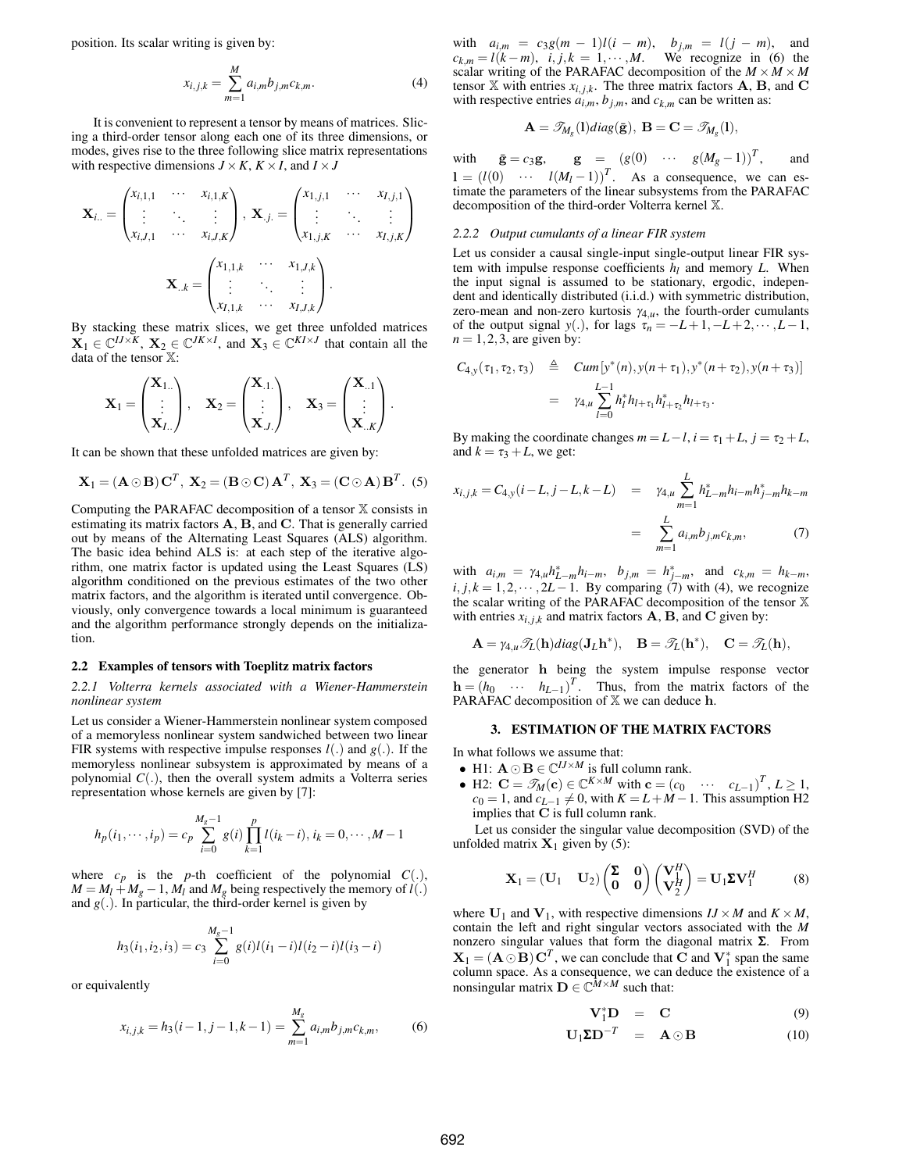position. Its scalar writing is given by:

$$
x_{i,j,k} = \sum_{m=1}^{M} a_{i,m} b_{j,m} c_{k,m}.
$$
 (4)

It is convenient to represent a tensor by means of matrices. Slicing a third-order tensor along each one of its three dimensions, or modes, gives rise to the three following slice matrix representations with respective dimensions  $J \times K$ ,  $K \times I$ , and  $I \times J$ 

$$
\mathbf{X}_{i..} = \begin{pmatrix} x_{i,1,1} & \cdots & x_{i,1,K} \\ \vdots & \ddots & \vdots \\ x_{i,J,1} & \cdots & x_{i,J,K} \end{pmatrix}, \ \mathbf{X}_{.j.} = \begin{pmatrix} x_{1,j,1} & \cdots & x_{I,j,1} \\ \vdots & \ddots & \vdots \\ x_{1,j,K} & \cdots & x_{I,j,K} \end{pmatrix}
$$

$$
\mathbf{X}_{..k} = \begin{pmatrix} x_{1,1,k} & \cdots & x_{1,J,k} \\ \vdots & \ddots & \vdots \\ x_{I,1,k} & \cdots & x_{I,J,k} \end{pmatrix}.
$$

By stacking these matrix slices, we get three unfolded matrices  $X_1 \in \mathbb{C}^{IJ \times K}$ ,  $X_2 \in \mathbb{C}^{JK \times I}$ , and  $X_3 \in \mathbb{C}^{KI \times J}$  that contain all the data of the tensor X:

$$
\mathbf{X}_1 = \begin{pmatrix} \mathbf{X}_{1..} \\ \vdots \\ \mathbf{X}_{L..} \end{pmatrix}, \quad \mathbf{X}_2 = \begin{pmatrix} \mathbf{X}_{.1.} \\ \vdots \\ \mathbf{X}_{.J.} \end{pmatrix}, \quad \mathbf{X}_3 = \begin{pmatrix} \mathbf{X}_{..1} \\ \vdots \\ \mathbf{X}_{..K} \end{pmatrix}.
$$

It can be shown that these unfolded matrices are given by:

$$
\mathbf{X}_1 = (\mathbf{A} \odot \mathbf{B}) \mathbf{C}^T, \ \mathbf{X}_2 = (\mathbf{B} \odot \mathbf{C}) \mathbf{A}^T, \ \mathbf{X}_3 = (\mathbf{C} \odot \mathbf{A}) \mathbf{B}^T.
$$
 (5)

Computing the PARAFAC decomposition of a tensor X consists in estimating its matrix factors A, B, and C. That is generally carried out by means of the Alternating Least Squares (ALS) algorithm. The basic idea behind ALS is: at each step of the iterative algorithm, one matrix factor is updated using the Least Squares (LS) algorithm conditioned on the previous estimates of the two other matrix factors, and the algorithm is iterated until convergence. Obviously, only convergence towards a local minimum is guaranteed and the algorithm performance strongly depends on the initialization.

#### **2.2 Examples of tensors with Toeplitz matrix factors**

## *2.2.1 Volterra kernels associated with a Wiener-Hammerstein nonlinear system*

Let us consider a Wiener-Hammerstein nonlinear system composed of a memoryless nonlinear system sandwiched between two linear FIR systems with respective impulse responses *l*(.) and *g*(.). If the memoryless nonlinear subsystem is approximated by means of a polynomial  $C(.)$ , then the overall system admits a Volterra series representation whose kernels are given by [7]:

$$
h_p(i_1, \dots, i_p) = c_p \sum_{i=0}^{M_g - 1} g(i) \prod_{k=1}^p l(i_k - i), i_k = 0, \dots, M - 1
$$

where  $c_p$  is the *p*-th coefficient of the polynomial  $C(.)$ ,  $M = M_l + M_g - 1$ ,  $M_l$  and  $M_g$  being respectively the memory of  $l(.)$ and  $g(.)$ . In particular, the third-order kernel is given by

$$
h_3(i_1, i_2, i_3) = c_3 \sum_{i=0}^{M_g - 1} g(i)l(i_1 - i)l(i_2 - i)l(i_3 - i)
$$

or equivalently

$$
x_{i,j,k} = h_3(i-1,j-1,k-1) = \sum_{m=1}^{M_g} a_{i,m} b_{j,m} c_{k,m},
$$
 (6)

 $a_{i,m} = c_{3}g(m-1)l(i-m), b_{j,m} = l(j-m),$  and  $c_{k,m} = l(k-m)$ , *i*, *j*,*k* = 1, ··· ,*M*. We recognize in (6) the scalar writing of the PARAFAC decomposition of the  $M \times M \times M$ tensor  $X$  with entries  $x_{i,j,k}$ . The three matrix factors **A**, **B**, and **C** with respective entries  $a_{i,m}$ ,  $b_{j,m}$ , and  $c_{k,m}$  can be written as:

$$
\mathbf{A} = \mathscr{T}_{M_g}(1)diag(\bar{\mathbf{g}}), \ \mathbf{B} = \mathbf{C} = \mathscr{T}_{M_g}(1),
$$

with  $\bar{\mathbf{g}} = c_3 \mathbf{g}$ ,  $\mathbf{g} = (g(0) \cdots g(M_g-1))^T$ and  $l = (l(0) \cdots l(M_l-1))^T$ . As a consequence, we can estimate the parameters of the linear subsystems from the PARAFAC decomposition of the third-order Volterra kernel X.

## *2.2.2 Output cumulants of a linear FIR system*

Let us consider a causal single-input single-output linear FIR system with impulse response coefficients *h<sup>l</sup>* and memory *L*. When the input signal is assumed to be stationary, ergodic, independent and identically distributed (i.i.d.) with symmetric distribution, zero-mean and non-zero kurtosis  $\gamma_{4,u}$ , the fourth-order cumulants of the output signal *y*(.), for lags  $\tau_n = -L+1, -L+2, \dots, L-1$ ,  $n = 1, 2, 3$ , are given by:

$$
C_{4,y}(\tau_1, \tau_2, \tau_3) \triangleq \text{Cum } [y^*(n), y(n+\tau_1), y^*(n+\tau_2), y(n+\tau_3)]
$$
  
=  $\gamma_{4,u} \sum_{l=0}^{L-1} h_l^* h_{l+\tau_1} h_{l+\tau_2}^* h_{l+\tau_3}.$ 

By making the coordinate changes  $m = L - l$ ,  $i = \tau_1 + L$ ,  $j = \tau_2 + L$ , and  $k = \tau_3 + L$ , we get:

$$
x_{i,j,k} = C_{4,y}(i - L, j - L, k - L) = \gamma_{4,\mu} \sum_{m=1}^{L} h_{L-m}^* h_{i-m} h_{j-m}^* h_{k-m}
$$

$$
= \sum_{m=1}^{L} a_{i,m} b_{j,m} c_{k,m}, \qquad (7)
$$

with  $a_{i,m} = \gamma_{4,\mu} h_{L-m}^* h_{i-m}, b_{j,m} = h_{j-m}^*$ , and  $c_{k,m} = h_{k-m}$ ,  $i, j, k = 1, 2, \cdots, 2L - 1$ . By comparing (7) with (4), we recognize the scalar writing of the PARAFAC decomposition of the tensor X with entries  $x_{i,j,k}$  and matrix factors  $A$ ,  $B$ , and  $C$  given by:

$$
\mathbf{A} = \gamma_{4,\mu} \mathscr{T}_{L}(\mathbf{h}) \text{diag}(\mathbf{J}_{L} \mathbf{h}^{*}), \quad \mathbf{B} = \mathscr{T}_{L}(\mathbf{h}^{*}), \quad \mathbf{C} = \mathscr{T}_{L}(\mathbf{h}),
$$

the generator h being the system impulse response vector  $\mathbf{h} = (h_0 \cdots h_{L-1})^T$ . Thus, from the matrix factors of the PARAFAC decomposition of  $X$  we can deduce  $h$ .

## **3. ESTIMATION OF THE MATRIX FACTORS**

In what follows we assume that:

- H1:  $\mathbf{A} \odot \mathbf{B} \in \mathbb{C}^{IJ \times M}$  is full column rank.
- H2:  $\mathbf{C} = \mathscr{T}_M(\mathbf{c}) \in \mathbb{C}^{K \times M}$  with  $\mathbf{c} = (c_0 \cdots c_{L-1})^T$ ,  $L \ge 1$ ,  $c_0 = 1$ , and  $c_{L-1} \neq 0$ , with  $K = L + M - 1$ . This assumption H2 implies that  $\overline{C}$  is full column rank.

Let us consider the singular value decomposition (SVD) of the unfolded matrix  $X_1$  given by (5):

$$
\mathbf{X}_1 = (\mathbf{U}_1 \quad \mathbf{U}_2) \begin{pmatrix} \mathbf{\Sigma} & \mathbf{0} \\ \mathbf{0} & \mathbf{0} \end{pmatrix} \begin{pmatrix} \mathbf{V}_1^H \\ \mathbf{V}_2^H \end{pmatrix} = \mathbf{U}_1 \Sigma \mathbf{V}_1^H \tag{8}
$$

where  $U_1$  and  $V_1$ , with respective dimensions  $I J \times M$  and  $K \times M$ , contain the left and right singular vectors associated with the *M* nonzero singular values that form the diagonal matrix Σ. From  $X_1 = (A \odot B) C^T$ , we can conclude that C and  $V_1^*$  span the same column space. As a consequence, we can deduce the existence of a nonsingular matrix  $\mathbf{D} \in \mathbb{C}^{\overline{M} \times M}$  such that:

$$
\mathbf{V}_1^* \mathbf{D} = \mathbf{C} \tag{9}
$$

$$
\mathbf{U}_1 \mathbf{\Sigma} \mathbf{D}^{-T} = \mathbf{A} \odot \mathbf{B} \tag{10}
$$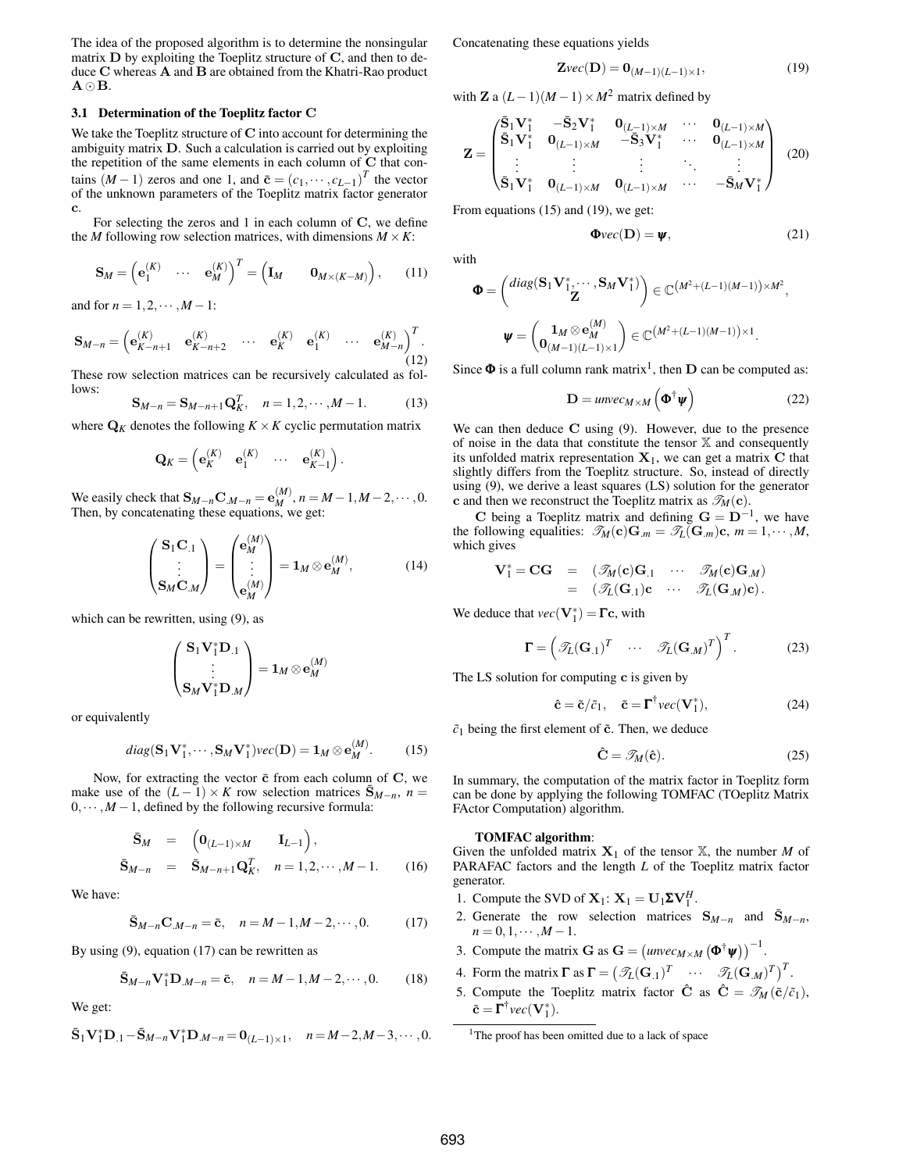The idea of the proposed algorithm is to determine the nonsingular matrix  $D$  by exploiting the Toeplitz structure of  $C$ , and then to deduce C whereas A and B are obtained from the Khatri-Rao product  $A \odot B$ .

## **3.1 Determination of the Toeplitz factor** C

We take the Toeplitz structure of  $C$  into account for determining the ambiguity matrix D. Such a calculation is carried out by exploiting the repetition of the same elements in each column of C that contains  $(M-1)$  zeros and one 1, and  $\bar{\mathbf{c}} = (c_1, \dots, c_{L-1})^T$  the vector of the unknown parameters of the Toeplitz matrix factor generator c.

For selecting the zeros and 1 in each column of C, we define the *M* following row selection matrices, with dimensions  $M \times K$ :

$$
\mathbf{S}_M = \left(\mathbf{e}_1^{(K)} \quad \cdots \quad \mathbf{e}_M^{(K)}\right)^T = \left(\mathbf{I}_M \quad \mathbf{0}_{M \times (K-M)}\right), \quad (11)
$$

and for  $n = 1, 2, \cdots, M-1$ :

$$
\mathbf{S}_{M-n} = \begin{pmatrix} \mathbf{e}_{K-n+1}^{(K)} & \mathbf{e}_{K-n+2}^{(K)} & \cdots & \mathbf{e}_{K}^{(K)} & \mathbf{e}_{1}^{(K)} & \cdots & \mathbf{e}_{M-n}^{(K)} \end{pmatrix}^{T} . \tag{12}
$$

These row selection matrices can be recursively calculated as follows:

$$
\mathbf{S}_{M-n} = \mathbf{S}_{M-n+1} \mathbf{Q}_K^T, \quad n = 1, 2, \cdots, M-1.
$$
 (13)

where  $\mathbf{Q}_K$  denotes the following  $K \times K$  cyclic permutation matrix

$$
\mathbf{Q}_K = \begin{pmatrix} \mathbf{e}_K^{(K)} & \mathbf{e}_1^{(K)} & \cdots & \mathbf{e}_{K-1}^{(K)} \end{pmatrix}.
$$

We easily check that  $S_{M-n}C_{M-n} = e_M^{(M)}$ ,  $n = M - 1$ ,  $M - 2$ ,  $\dots$ , 0.<br>Then, by concatenating these equations, we get:

$$
\begin{pmatrix} \mathbf{S}_1 \mathbf{C}_{.1} \\ \vdots \\ \mathbf{S}_M \mathbf{C}_{.M} \end{pmatrix} = \begin{pmatrix} \mathbf{e}_M^{(M)} \\ \vdots \\ \mathbf{e}_M^{(M)} \end{pmatrix} = \mathbf{1}_M \otimes \mathbf{e}_M^{(M)}, \tag{14}
$$

which can be rewritten, using  $(9)$ , as

$$
\begin{pmatrix} \mathbf{S}_1\mathbf{V}_1^*\mathbf{D}_{.1} \\ \vdots \\ \mathbf{S}_M\mathbf{V}_1^*\mathbf{D}_{.M} \end{pmatrix} = \mathbf{1}_M \otimes \mathbf{e}_M^{(M)}
$$

or equivalently

$$
diag(\mathbf{S}_1\mathbf{V}_1^*,\cdots,\mathbf{S}_M\mathbf{V}_1^*)\text{vec}(\mathbf{D})=\mathbf{1}_M\otimes \mathbf{e}_M^{(M)}.
$$
 (15)

Now, for extracting the vector  $\bar{c}$  from each column of C, we make use of the  $(L-1) \times K$  row selection matrices  $\bar{S}_{M-n}$ , *n* =  $0, \dots, M-1$ , defined by the following recursive formula:

$$
\begin{array}{rcl}\n\bar{\mathbf{S}}_{M} & = & \left(\mathbf{0}_{(L-1)\times M} & \mathbf{I}_{L-1}\right), \\
\bar{\mathbf{S}}_{M-n} & = & \bar{\mathbf{S}}_{M-n+1} \mathbf{Q}_{K}^{T}, \quad n = 1, 2, \cdots, M-1.\n\end{array} \tag{16}
$$

We have:

$$
\bar{\mathbf{S}}_{M-n}\mathbf{C}_{M-n}=\bar{\mathbf{c}}, \quad n=M-1,M-2,\cdots,0. \tag{17}
$$

By using (9), equation (17) can be rewritten as

$$
\bar{S}_{M-n}V_1^*D_{M-n} = \bar{c}, \quad n = M-1, M-2, \cdots, 0.
$$
 (18)

We get:

$$
\bar{S}_1 \mathbf{V}_1^* \mathbf{D}_{.1} - \bar{S}_{M-n} \mathbf{V}_1^* \mathbf{D}_{.M-n} = \mathbf{0}_{(L-1)\times 1}, \quad n = M-2, M-3, \cdots, 0.
$$

Concatenating these equations yields

$$
\mathbf{Z}\text{vec}(\mathbf{D}) = \mathbf{0}_{(M-1)(L-1)\times 1},\tag{19}
$$

with **Z** a  $(L-1)(M-1) \times M^2$  matrix defined by

$$
\mathbf{Z} = \begin{pmatrix} \bar{\mathbf{S}}_1 \mathbf{V}_1^* & -\bar{\mathbf{S}}_2 \mathbf{V}_1^* & \mathbf{0}_{(L-1)\times M} & \cdots & \mathbf{0}_{(L-1)\times M} \\ \bar{\mathbf{S}}_1 \mathbf{V}_1^* & \mathbf{0}_{(L-1)\times M} & -\bar{\mathbf{S}}_3 \mathbf{V}_1^* & \cdots & \mathbf{0}_{(L-1)\times M} \\ \vdots & \vdots & \ddots & \vdots \\ \bar{\mathbf{S}}_1 \mathbf{V}_1^* & \mathbf{0}_{(L-1)\times M} & \mathbf{0}_{(L-1)\times M} & \cdots & -\bar{\mathbf{S}}_M \mathbf{V}_1^* \end{pmatrix} (20)
$$

From equations (15) and (19), we get:

$$
\Phi vec(\mathbf{D}) = \psi, \tag{21}
$$

with

$$
\Phi = \begin{pmatrix} diag(\mathbf{S}_1 \mathbf{V}_1^*, \cdots, \mathbf{S}_M \mathbf{V}_1^*) \\ \mathbf{Z} \end{pmatrix} \in \mathbb{C}^{(M^2 + (L-1)(M-1)) \times M^2},
$$

$$
\Psi = \begin{pmatrix} \mathbf{1}_M \otimes \mathbf{e}_M^{(M)} \\ \mathbf{0}_{(M-1)(L-1) \times 1} \end{pmatrix} \in \mathbb{C}^{(M^2 + (L-1)(M-1)) \times 1}.
$$

Since  $\Phi$  is a full column rank matrix<sup>1</sup>, then  $D$  can be computed as:

$$
\mathbf{D} = \text{unvec}_{M \times M} \left( \mathbf{\Phi}^{\dagger} \mathbf{\psi} \right) \tag{22}
$$

We can then deduce  $C$  using  $(9)$ . However, due to the presence of noise in the data that constitute the tensor X and consequently its unfolded matrix representation  $X_1$ , we can get a matrix  $C$  that slightly differs from the Toeplitz structure. So, instead of directly using (9), we derive a least squares (LS) solution for the generator c and then we reconstruct the Toeplitz matrix as  $\mathcal{T}_M(\mathbf{c})$ .

C being a Toeplitz matrix and defining  $G = D^{-1}$ , we have the following equalities:  $\mathscr{T}_M(\mathbf{c})\mathbf{G}_{.m} = \mathscr{T}_L(\mathbf{G}_{.m})\mathbf{c}, m = 1, \cdots, M$ , which gives

$$
\mathbf{V}_{1}^{*} = \mathbf{C}\mathbf{G} = (\mathscr{T}_{M}(\mathbf{c})\mathbf{G}_{.1} \cdots \mathscr{T}_{M}(\mathbf{c})\mathbf{G}_{.M})
$$
  
=  $(\mathscr{T}_{L}(\mathbf{G}_{.1})\mathbf{c} \cdots \mathscr{T}_{L}(\mathbf{G}_{.M})\mathbf{c}).$ 

We deduce that  $\textit{vec}(\mathbf{V}_1^*) = \mathbf{\Gamma} \mathbf{c}$ , with

$$
\mathbf{\Gamma} = \left(\mathcal{I}_L(\mathbf{G}_{.1})^T \quad \cdots \quad \mathcal{I}_L(\mathbf{G}_{.M})^T\right)^T.
$$
 (23)

The LS solution for computing c is given by

$$
\hat{\mathbf{c}} = \tilde{\mathbf{c}}/\tilde{c}_1, \quad \tilde{\mathbf{c}} = \Gamma^{\dagger} \text{vec}(\mathbf{V}_1^*), \tag{24}
$$

 $\tilde{c}_1$  being the first element of  $\tilde{c}$ . Then, we deduce

$$
\hat{\mathbf{C}} = \mathscr{T}_M(\hat{\mathbf{c}}). \tag{25}
$$

In summary, the computation of the matrix factor in Toeplitz form can be done by applying the following TOMFAC (TOeplitz Matrix FActor Computation) algorithm.

#### **TOMFAC algorithm**:

Given the unfolded matrix  $X_1$  of the tensor  $X$ , the number M of PARAFAC factors and the length *L* of the Toeplitz matrix factor generator.

- 1. Compute the SVD of  $X_1: X_1 = U_1 \Sigma V_1^H$ .
- 2. Generate the row selection matrices  $S_{M-n}$  and  $\bar{S}_{M-n}$ ,  $n = 0, 1, \cdots, M - 1.$
- 3. Compute the matrix **G** as **G** =  $\left( \text{unvec}_{M \times M} \left( \Phi^{\dagger} \psi \right) \right)^{-1}$ .
- 4. Form the matrix  $\mathbf{\Gamma}$  as  $\mathbf{\Gamma} = (\mathscr{T}_L(\mathbf{G}_{.1})^T \quad \cdots \quad \mathscr{T}_L(\mathbf{G}_{.M})^T)^T$ .
- 5. Compute the Toeplitz matrix factor  $\hat{\mathbf{C}}$  as  $\hat{\mathbf{C}} = \mathscr{T}_M(\tilde{\mathbf{c}}/\tilde{c}_1)$ ,  $\tilde{\mathbf{c}} = \mathbf{\Gamma}^{\dagger} \text{vec}(\mathbf{V}_{1}^{*}).$

<sup>&</sup>lt;sup>1</sup>The proof has been omitted due to a lack of space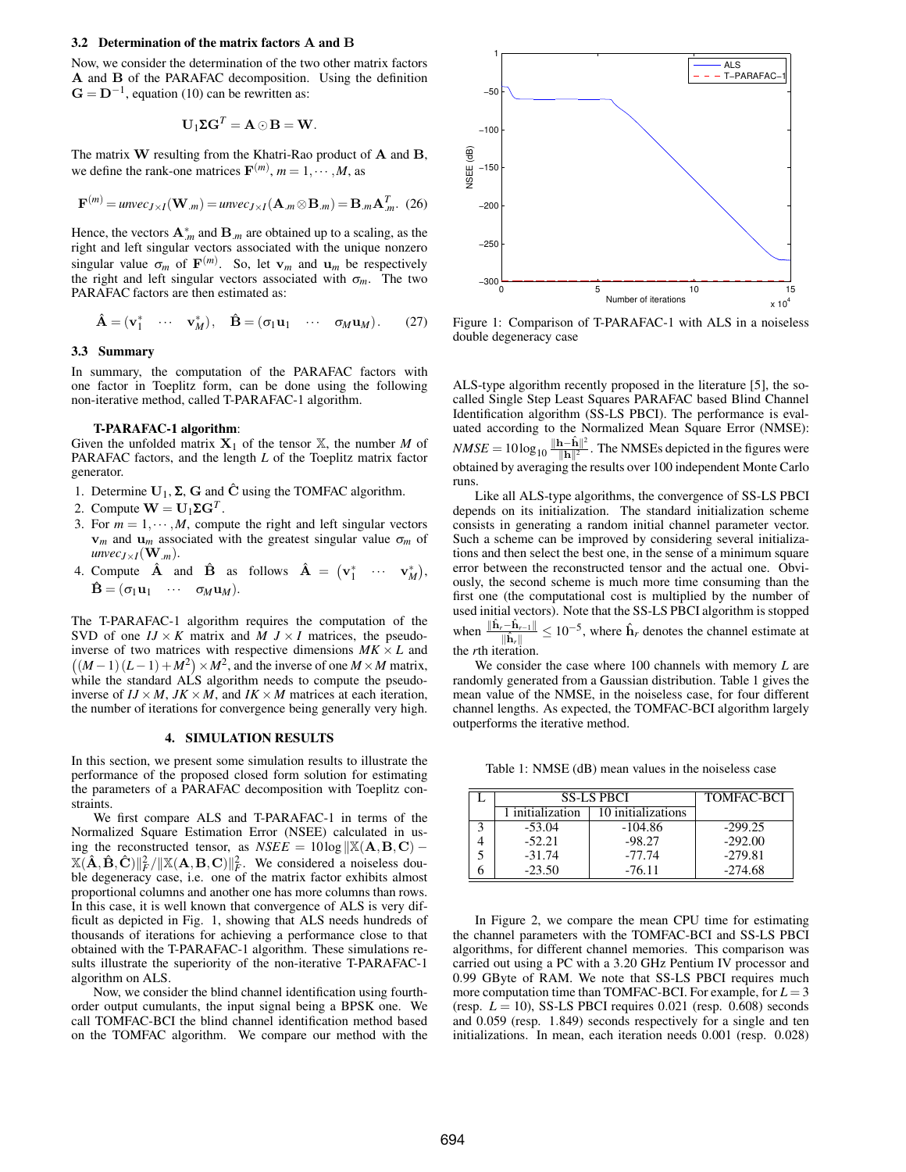#### **3.2 Determination of the matrix factors** A **and** B

Now, we consider the determination of the two other matrix factors A and B of the PARAFAC decomposition. Using the definition  $G = D^{-1}$ , equation (10) can be rewritten as:

$$
\mathbf{U}_1 \mathbf{\Sigma} \mathbf{G}^T = \mathbf{A} \odot \mathbf{B} = \mathbf{W}.
$$

The matrix W resulting from the Khatri-Rao product of A and B, we define the rank-one matrices  $\mathbf{F}^{(m)}$ ,  $m = 1, \dots, M$ , as

$$
\mathbf{F}^{(m)} = \text{unvec}_{J \times I}(\mathbf{W}_{.m}) = \text{unvec}_{J \times I}(\mathbf{A}_{.m} \otimes \mathbf{B}_{.m}) = \mathbf{B}_{.m} \mathbf{A}_{.m}^T. (26)
$$

Hence, the vectors  $\mathbf{A}^*_{m}$  and  $\mathbf{B}_{m}$  are obtained up to a scaling, as the right and left singular vectors associated with the unique nonzero singular value  $\sigma_m$  of  $\mathbf{F}^{(m)}$ . So, let  $\mathbf{v}_m$  and  $\mathbf{u}_m$  be respectively the right and left singular vectors associated with  $\sigma_m$ . The two PARAFAC factors are then estimated as:

$$
\hat{\mathbf{A}} = (\mathbf{v}_1^* \quad \cdots \quad \mathbf{v}_M^*), \quad \hat{\mathbf{B}} = (\sigma_1 \mathbf{u}_1 \quad \cdots \quad \sigma_M \mathbf{u}_M). \tag{27}
$$

# **3.3 Summary**

In summary, the computation of the PARAFAC factors with one factor in Toeplitz form, can be done using the following non-iterative method, called T-PARAFAC-1 algorithm.

#### **T-PARAFAC-1 algorithm**:

Given the unfolded matrix  $X_1$  of the tensor  $X$ , the number M of PARAFAC factors, and the length *L* of the Toeplitz matrix factor generator.

- 1. Determine  $U_1$ ,  $\Sigma$ ,  $G$  and  $\tilde{C}$  using the TOMFAC algorithm.
- 2. Compute  $\mathbf{W} = \mathbf{U}_1 \mathbf{\Sigma} \mathbf{G}^T$ .
- 3. For  $m = 1, \dots, M$ , compute the right and left singular vectors  $v_m$  and  $u_m$  associated with the greatest singular value  $\sigma_m$  of  $unvec_{J \times I}(\mathbf{W}_{.m}).$
- 4. Compute  $\hat{\mathbf{A}}$  and  $\hat{\mathbf{B}}$  as follows  $\hat{\mathbf{A}} = (\mathbf{v}_1^* \cdots \mathbf{v}_M^*),$  $\hat{\mathbf{B}} = (\sigma_1 \mathbf{u}_1 \cdots \sigma_M \mathbf{u}_M).$

The T-PARAFAC-1 algorithm requires the computation of the SVD of one  $IJ \times K$  matrix and  $M$   $J \times I$  matrices, the pseudoinverse of two matrices with respective dimensions  $MK \times L$  and  $((M-1)(L-1)+M^2) \times M^2$ , and the inverse of one  $M \times M$  matrix, while the standard ALS algorithm needs to compute the pseudoinverse of  $I J \times M$ ,  $J K \times M$ , and  $I K \times M$  matrices at each iteration, the number of iterations for convergence being generally very high.

# **4. SIMULATION RESULTS**

In this section, we present some simulation results to illustrate the performance of the proposed closed form solution for estimating the parameters of a PARAFAC decomposition with Toeplitz constraints.

We first compare ALS and T-PARAFAC-1 in terms of the Normalized Square Estimation Error (NSEE) calculated in using the reconstructed tensor, as  $NSEE = 10log \|\mathbb{X}(\mathbf{A}, \mathbf{B}, \mathbf{C}) (X(\hat{\mathbf{A}}, \hat{\mathbf{B}}, \hat{\mathbf{C}}) \|_F^2 / \|X(\mathbf{A}, \mathbf{B}, \mathbf{C})\|_F^2$ . We considered a noiseless double degeneracy case, i.e. one of the matrix factor exhibits almost proportional columns and another one has more columns than rows. In this case, it is well known that convergence of ALS is very difficult as depicted in Fig. 1, showing that ALS needs hundreds of thousands of iterations for achieving a performance close to that obtained with the T-PARAFAC-1 algorithm. These simulations results illustrate the superiority of the non-iterative T-PARAFAC-1 algorithm on ALS.

Now, we consider the blind channel identification using fourthorder output cumulants, the input signal being a BPSK one. We call TOMFAC-BCI the blind channel identification method based on the TOMFAC algorithm. We compare our method with the



Figure 1: Comparison of T-PARAFAC-1 with ALS in a noiseless double degeneracy case

ALS-type algorithm recently proposed in the literature [5], the socalled Single Step Least Squares PARAFAC based Blind Channel Identification algorithm (SS-LS PBCI). The performance is evaluated according to the Normalized Mean Square Error (NMSE):  $NMSE = 10\log_{10} \frac{\Vert \mathbf{h} - \hat{\mathbf{h}} \Vert^2}{\Vert \mathbf{h} \Vert^2}$ . The NMSEs depicted in the figures were obtained by averaging the results over 100 independent Monte Carlo runs.

Like all ALS-type algorithms, the convergence of SS-LS PBCI depends on its initialization. The standard initialization scheme consists in generating a random initial channel parameter vector. Such a scheme can be improved by considering several initializations and then select the best one, in the sense of a minimum square error between the reconstructed tensor and the actual one. Obviously, the second scheme is much more time consuming than the first one (the computational cost is multiplied by the number of used initial vectors). Note that the SS-LS PBCI algorithm is stopped when  $\frac{\|\hat{\mathbf{h}}_r - \hat{\mathbf{h}}_{r-1}\|}{\|\hat{\mathbf{h}}_r\|} \leq 10^{-5}$ , where  $\hat{\mathbf{h}}_r$  denotes the channel estimate at the *r*th iteration.

We consider the case where 100 channels with memory *L* are randomly generated from a Gaussian distribution. Table 1 gives the mean value of the NMSE, in the noiseless case, for four different channel lengths. As expected, the TOMFAC-BCI algorithm largely outperforms the iterative method.

Table 1: NMSE (dB) mean values in the noiseless case

| <b>SS-LS PBCI</b> |                    | <b>TOMFAC-BCI</b> |
|-------------------|--------------------|-------------------|
| 1 initialization  | 10 initializations |                   |
| $-53.04$          | $-104.86$          | $-299.25$         |
| $-52.21$          | $-98.27$           | $-292.00$         |
| $-31.74$          | $-77.74$           | $-279.81$         |
| $-23.50$          | $-76.11$           | $-274.68$         |

In Figure 2, we compare the mean CPU time for estimating the channel parameters with the TOMFAC-BCI and SS-LS PBCI algorithms, for different channel memories. This comparison was carried out using a PC with a 3.20 GHz Pentium IV processor and 0.99 GByte of RAM. We note that SS-LS PBCI requires much more computation time than TOMFAC-BCI. For example, for  $L = 3$ (resp.  $L = 10$ ), SS-LS PBCI requires 0.021 (resp. 0.608) seconds and 0.059 (resp. 1.849) seconds respectively for a single and ten initializations. In mean, each iteration needs 0.001 (resp. 0.028)